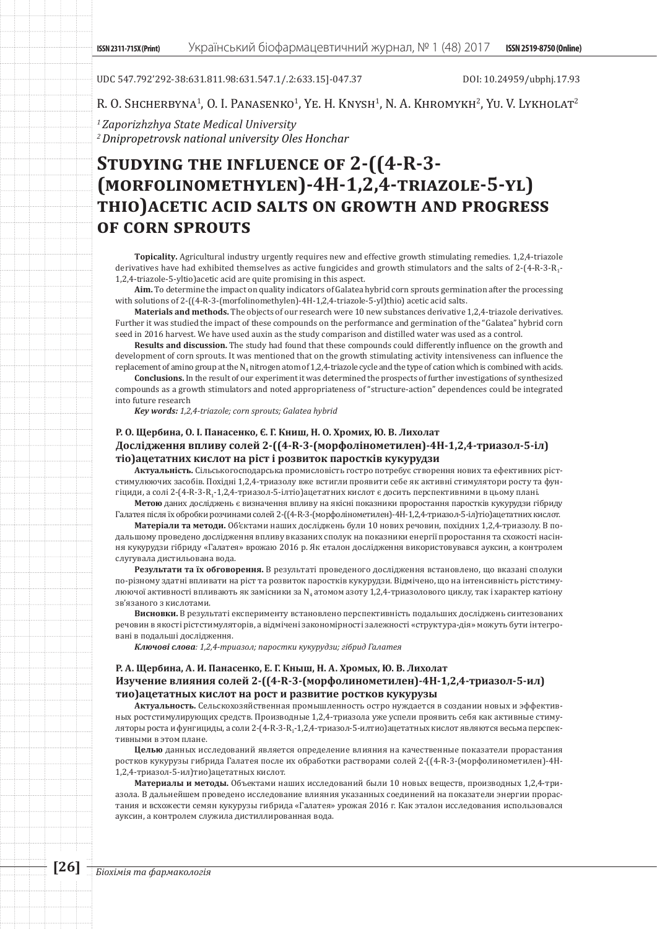UDC 547.792'292-38:631.811.98:631.547.1/.2:633.15]-047.37 DOI: 10.24959/ubphj.17.93

R. O. Shcherbyna<sup>1</sup>, O. I. Panasenko<sup>1</sup>, Ye. H. Knysh<sup>1</sup>, N. A. Khromykh<sup>2</sup>, Yu. V. Lykholat<sup>2</sup>

*1 Zaporizhzhya State Medical University 2 Dnipropetrovsk national university Oles Honchar*

# **Studying the influence of 2-((4-R-3- (morfolinomethylen)-4H-1,2,4-triazole-5-yl) thio)acetic acid salts on growth and progress of corn sprouts**

**Topicality.** Agricultural industry urgently requires new and effective growth stimulating remedies. 1,2,4-triazole derivatives have had exhibited themselves as active fungicides and growth stimulators and the salts of 2-(4-R-3-R<sub>1</sub>-1,2,4-triazole-5-yltio)acetic acid are quite promising in this aspect.

**Aim.** To determine the impact on quality indicators of Galatea hybrid corn sprouts germination after the processing with solutions of 2-((4-R-3-(morfolinomethylen)-4H-1,2,4-triazole-5-yl)thio) acetic acid salts.

**Materials and methods.** The objects of our research were 10 new substances derivative 1,2,4-triazole derivatives. Further it was studied the impact of these compounds on the performance and germination of the "Galatea" hybrid corn seed in 2016 harvest. We have used auxin as the study comparison and distilled water was used as a control.

**Results and discussion.** The study had found that these compounds could differently influence on the growth and development of corn sprouts. It was mentioned that on the growth stimulating activity intensiveness can influence the replacement of amino group at the  $N_4$  nitrogen atom of 1,2,4-triazole cycle and the type of cation which is combined with acids.

**Conclusions.** In the result of our experiment it was determined the prospects of further investigations of synthesized compounds as a growth stimulators and noted appropriateness of "structure-action" dependences could be integrated into future research

*Key words: 1,2,4-triazole; corn sprouts; Galatea hybrid*

# **Р. О. Щербина, О. І. Панасенко, Є. Г. Книш, Н. О. Хромих, Ю. В. Лихолат Дослідження впливу солей 2-((4-R-3-(морфолінометилен)-4H-1,2,4-триазол-5-іл) тіо)ацетатних кислот на ріст і розвиток паростків кукурудзи**

**Актуальність.** Сільськогосподарська промисловість гостро потребує створення нових та ефективних рістстимулюючих засобів. Похідні 1,2,4-триазолу вже встигли проявити себе як активні стимулятори росту та фунгіциди, а солі 2-(4-R-3-R1-1,2,4-триазол-5-ілтіо)ацетатних кислот є досить перспективними в цьому плані.

**Метою** даних досліджень є визначення впливу на якісні показники проростання паростків кукурудзи гібриду Галатея після їх обробки розчинами солей 2-((4-R-3-(морфолінометилен)-4H-1,2,4-триазол-5-іл)тіо)ацетатних кислот.

**Матеріали та методи.** Об'єктами наших досліджень були 10 нових речовин, похідних 1,2,4-триазолу. В подальшому проведено дослідження впливу вказаних сполук на показники енергії проростання та схожості насіння кукурудзи гібриду «Галатея» врожаю 2016 р. Як еталон дослідження використовувався ауксин, а контролем слугувала дистильована вода.

**Результати та їх обговорення.** В результаті проведеного дослідження встановлено, що вказані сполуки по-різному здатні впливати на ріст та розвиток паростків кукурудзи. Відмічено, що на інтенсивність рістстимулюючої активності впливають як замісники за N4 атомом азоту 1,2,4-триазолового циклу, так і характер катіону зв'язаного з кислотами.

**Висновки.** В результаті експерименту встановлено перспективність подальших досліджень синтезованих речовин в якості рістстимуляторів, а відмічені закономірності залежності «структура-дія» можуть бути інтегровані в подальші дослідження.

*Ключові слова: 1,2,4-триазол; паростки кукурудзи; гібрид Галатея*

# **Р. А. Щербина, А. И. Панасенко, Е. Г. Кныш, Н. А. Хромых, Ю. В. Лихолат Изучение влияния солей 2-((4-R-3-(морфолинометилен)-4H-1,2,4-триазол-5-ил) тио)ацетатных кислот на рост и развитие ростков кукурузы**

**Актуальность.** Сельскохозяйственная промышленность остро нуждается в создании новых и эффективных ростстимулирующих средств. Производные 1,2,4-триазола уже успели проявить себя как активные стимуляторы роста и фунгициды, а соли 2-(4-R-3-R<sub>1</sub>-1,2,4-триазол-5-илтио)ацетатных кислот являются весьма перспективными в этом плане.

**Целью** данных исследований является определение влияния на качественные показатели прорастания ростков кукурузы гибрида Галатея после их обработки растворами солей 2-((4-R-3-(морфолинометилен)-4H-1,2,4-триазол-5-ил)тио)ацетатных кислот.

**Материалы и методы.** Объектами наших исследований были 10 новых веществ, производных 1,2,4-триазола. В дальнейшем проведено исследование влияния указанных соединений на показатели энергии прорастания и всхожести семян кукурузы гибрида «Галатея» урожая 2016 г. Как эталон исследования использовался ауксин, а контролем служила дистиллированная вода.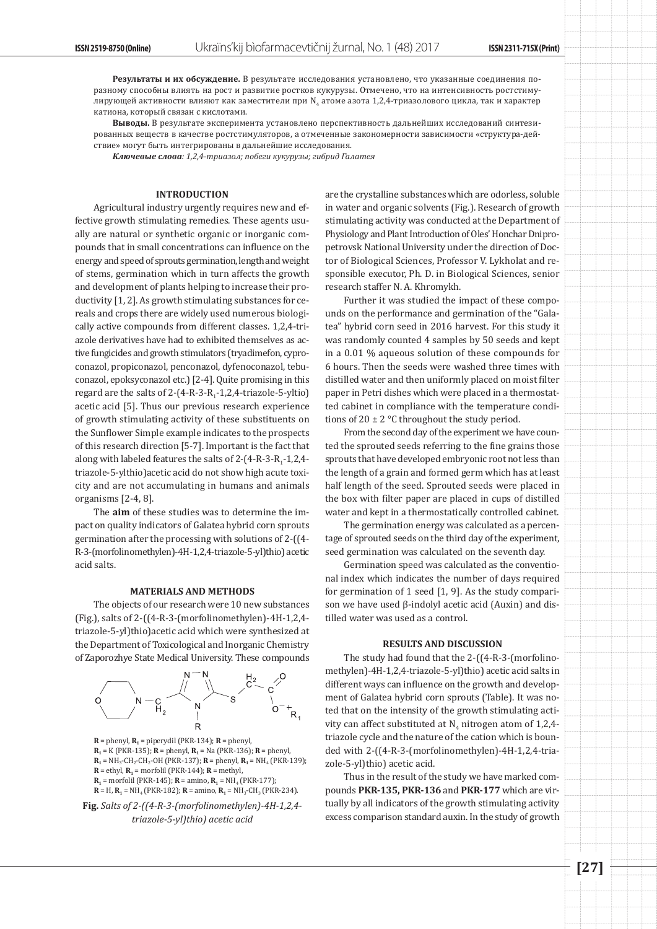**Результаты и их обсуждение.** В результате исследования установлено, что указанные соединения поразному способны влиять на рост и развитие ростков кукурузы. Отмечено, что на интенсивность ростстимулирующей активности влияют как заместители при N<sub>4</sub> атоме азота 1,2,4-триазолового цикла, так и характер катиона, который связан с кислотами.

**Выводы.** В результате эксперимента установлено перспективность дальнейших исследований синтезированных веществ в качестве ростстимуляторов, а отмеченные закономерности зависимости «структура-действие» могут быть интегрированы в дальнейшие исследования.

*Ключевые слова: 1,2,4-триазол; побеги кукурузы; гибрид Галатея*

#### **INTRODUCTION**

Agricultural industry urgently requires new and effective growth stimulating remedies. These agents usually are natural or synthetic organic or inorganic compounds that in small concentrations can influence on the energy and speed of sprouts germination, length and weight of stems, germination which in turn affects the growth and development of plants helping to increase their productivity [1, 2]. As growth stimulating substances for cereals and crops there are widely used numerous biologically active compounds from different classes. 1,2,4-triazole derivatives have had to exhibited themselves as active fungicides and growth stimulators (tryadimefon, cyproconazol, propiсonazol, penсonazol, dyfenoсonazol, tebuсonazol, epoksyсonazol etc.) [2-4]. Quite promising in this regard are the salts of  $2-(4-R-3-R<sub>1</sub>-1,2,4-triazole-5-yltio)$ acetic acid [5]. Thus our previous research experience of growth stimulating activity of these substituents on the Sunflower Simple example indicates to the prospects of this research direction [5-7]. Important is the fact that along with labeled features the salts of  $2-(4-R-3-R_1-1,2,4-P_1)$ triazole-5-ylthio)acetic acid do not show high acute toxicity and are not accumulating in humans and animals organisms [2-4, 8].

The **aim** of these studies was to determine the impact on quality indicators of Galatea hybrid corn sprouts germination after the processing with solutions of 2-((4- R-3-(morfolinomethylen)-4H-1,2,4-triazole-5-yl)thio) acetic acid salts.

#### **MATERIALS AND METHODS**

The objects of our research were 10 new substances (Fig.), salts of 2-((4-R-3-(morfolinomethylen)-4H-1,2,4 triazole-5-yl)thio)acetic acid which were synthesized at the Department of Toxicological and Inorganic Chemistry of Zaporozhye State Medical University. These compounds



 $R =$  phenyl,  $R_1 =$  piperydil (PKR-134);  $R =$  phenyl,  $R_1 = K$  (PKR-135); **R** = phenyl, **R**<sub>1</sub> = Na (PKR-136); **R** = phenyl,  $R_1 = NH_3$ -CH<sub>2</sub>-CH<sub>2</sub>-OH (PKR-137); **R** = phenyl, **R**<sub>1</sub> = NH<sub>4</sub> (PKR-139);  $R =$ ethyl,  $R_1$  = morfolil (PKR-144);  $R =$  methyl,  $$ **R** = H,  $R_1$  = NH<sub>4</sub> (PKR-182); **R** = amino,  $R_1$  = NH<sub>3</sub>-CH<sub>3</sub> (PKR-234).



are the crystalline substances which are odorless, soluble in water and organic solvents (Fig.). Research of growth stimulating activity was conducted at the Department of Physiology and Plant Introduction of Oles' Honchar Dnipropetrovsk National University under the direction of Doctor of Biological Sciences, Professor V. Lykholat and responsible executor, Ph. D. in Biological Sciences, senior research staffer N. A. Khromykh.

Further it was studied the impact of these compounds on the performance and germination of the "Galatea" hybrid corn seed in 2016 harvest. For this study it was randomly counted 4 samples by 50 seeds and kept in a 0.01 % aqueous solution of these compounds for 6 hours. Then the seeds were washed three times with distilled water and then uniformly placed on moist filter paper in Petri dishes which were placed in a thermostatted cabinet in compliance with the temperature conditions of  $20 \pm 2$  °C throughout the study period.

From the second day of the experiment we have counted the sprouted seeds referring to the fine grains those sprouts that have developed embryonic root not less than the length of a grain and formed germ which has at least half length of the seed. Sprouted seeds were placed in the box with filter paper are placed in cups of distilled water and kept in a thermostatically controlled cabinet.

The germination energy was calculated as a percentage of sprouted seeds on the third day of the experiment, seed germination was calculated on the seventh day.

Germination speed was calculated as the conventional index which indicates the number of days required for germination of 1 seed [1, 9]. As the study comparison we have used β-indolyl acetic acid (Auxin) and distilled water was used as a control.

## **RESULTS AND DISCUSSION**

The study had found that the 2-((4-R-3-(morfolinomethylen)-4H-1,2,4-triazole-5-yl)thio) acetic acid salts in different ways can influence on the growth and development of Galatea hybrid corn sprouts (Table). It was noted that on the intensity of the growth stimulating activity can affect substituted at  $N_4$  nitrogen atom of 1,2,4triazole cycle and the nature of the cation which is bounded with 2-((4-R-3-(morfolinomethylen)-4H-1,2,4-triazole-5-yl)thio) acetic acid.

Thus in the result of the study we have marked compounds **PKR-135, PKR-136** and **PKR-177** which are virtually by all indicators of the growth stimulating activity excess comparison standard auxin. In the study of growth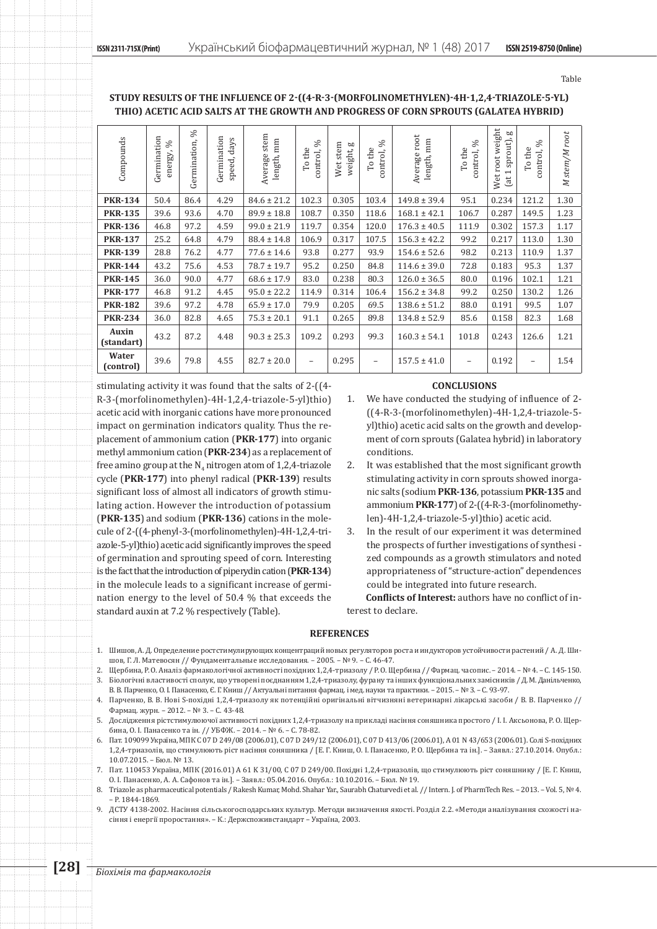# **Study results of the influence of 2-((4-R-3-(morfolinomethylen)-4H-1,2,4-triazole-5-yl) thio) acetic acid salts at the growth and progress of corn sprouts (Galatea hybrid)**

| Compounds           | Germination<br>$\%$<br>energy, | $\%$<br>Germination, | Germination<br>ays<br>ಕ<br>speed, | stem<br>length, mm<br>Average | $\%$<br>To the<br>control, | Wet stem<br>weight, g | ℅<br>To the<br>control, | Average root<br>length, mm | $\%$<br>To the<br>control, | Wet root weight<br>g<br>sprout),<br>(at1) | $\%$<br>To the<br>control, | M stem/M root |
|---------------------|--------------------------------|----------------------|-----------------------------------|-------------------------------|----------------------------|-----------------------|-------------------------|----------------------------|----------------------------|-------------------------------------------|----------------------------|---------------|
| <b>PKR-134</b>      | 50.4                           | 86.4                 | 4.29                              | $84.6 \pm 21.2$               | 102.3                      | 0.305                 | 103.4                   | $149.8 \pm 39.4$           | 95.1                       | 0.234                                     | 121.2                      | 1.30          |
| <b>PKR-135</b>      | 39.6                           | 93.6                 | 4.70                              | $89.9 \pm 18.8$               | 108.7                      | 0.350                 | 118.6                   | $168.1 \pm 42.1$           | 106.7                      | 0.287                                     | 149.5                      | 1.23          |
| <b>PKR-136</b>      | 46.8                           | 97.2                 | 4.59                              | $99.0 \pm 21.9$               | 119.7                      | 0.354                 | 120.0                   | $176.3 \pm 40.5$           | 111.9                      | 0.302                                     | 157.3                      | 1.17          |
| <b>PKR-137</b>      | 25.2                           | 64.8                 | 4.79                              | $88.4 \pm 14.8$               | 106.9                      | 0.317                 | 107.5                   | $156.3 \pm 42.2$           | 99.2                       | 0.217                                     | 113.0                      | 1.30          |
| <b>PKR-139</b>      | 28.8                           | 76.2                 | 4.77                              | $77.6 \pm 14.6$               | 93.8                       | 0.277                 | 93.9                    | $154.6 \pm 52.6$           | 98.2                       | 0.213                                     | 110.9                      | 1.37          |
| <b>PKR-144</b>      | 43.2                           | 75.6                 | 4.53                              | $78.7 \pm 19.7$               | 95.2                       | 0.250                 | 84.8                    | $114.6 \pm 39.0$           | 72.8                       | 0.183                                     | 95.3                       | 1.37          |
| <b>PKR-145</b>      | 36.0                           | 90.0                 | 4.77                              | $68.6 \pm 17.9$               | 83.0                       | 0.238                 | 80.3                    | $126.0 \pm 36.5$           | 80.0                       | 0.196                                     | 102.1                      | 1.21          |
| <b>PKR-177</b>      | 46.8                           | 91.2                 | 4.45                              | $95.0 \pm 22.2$               | 114.9                      | 0.314                 | 106.4                   | $156.2 \pm 34.8$           | 99.2                       | 0.250                                     | 130.2                      | 1.26          |
| <b>PKR-182</b>      | 39.6                           | 97.2                 | 4.78                              | $65.9 \pm 17.0$               | 79.9                       | 0.205                 | 69.5                    | $138.6 \pm 51.2$           | 88.0                       | 0.191                                     | 99.5                       | 1.07          |
| <b>PKR-234</b>      | 36.0                           | 82.8                 | 4.65                              | $75.3 \pm 20.1$               | 91.1                       | 0.265                 | 89.8                    | $134.8 \pm 52.9$           | 85.6                       | 0.158                                     | 82.3                       | 1.68          |
| Auxin<br>(standart) | 43.2                           | 87.2                 | 4.48                              | $90.3 \pm 25.3$               | 109.2                      | 0.293                 | 99.3                    | $160.3 \pm 54.1$           | 101.8                      | 0.243                                     | 126.6                      | 1.21          |
| Water<br>(control)  | 39.6                           | 79.8                 | 4.55                              | $82.7 \pm 20.0$               | $\overline{\phantom{a}}$   | 0.295                 | $\qquad \qquad -$       | $157.5 \pm 41.0$           | $\overline{\phantom{m}}$   | 0.192                                     | $\overline{\phantom{0}}$   | 1.54          |

stimulating activity it was found that the salts of 2-((4- R-3-(morfolinomethylen)-4H-1,2,4-triazole-5-yl)thio) acetic acid with inorganic cations have more pronounced impact on germination indicators quality. Thus the replacement of ammonium cation (**PKR-177**) into organic methyl ammonium cation (**PKR-234**) as a replacement of free amino group at the  $N_4$  nitrogen atom of 1,2,4-triazole cycle (**PKR-177**) into phenyl radical (**PKR-139**) results significant loss of almost all indicators of growth stimulating action. However the introduction of potassium (**PKR-135**) and sodium (**PKR-136**) cations in the molecule of 2-((4-phenyl-3-(morfolinomethylen)-4H-1,2,4-triazole-5-yl)thio) acetic acid significantly improves the speed of germination and sprouting speed of corn. Interesting is the fact that the introduction of piperydin cation (**PKR-134**) in the molecule leads to a significant increase of germination energy to the level of 50.4 % that exceeds the standard auxin at 7.2 % respectively (Table).

# **CONCLUSIONS**

- 1. We have conducted the studying of influence of 2- ((4-R-3-(morfolinomethylen)-4H-1,2,4-triazole-5 yl)thio) acetic acid salts on the growth and development of corn sprouts (Galatea hybrid) in laboratory conditions.
- 2. It was established that the most significant growth stimulating activity in corn sprouts showed inorganic salts (sodium **PKR-136**, potassium **PKR-135** and ammonium **PKR-177**) of 2-((4-R-3-(morfolinomethylen)-4H-1,2,4-triazole-5-yl)thio) acetic acid.
- 3. In the result of our experiment it was determined the prospects of further investigations of synthesi zed compounds as a growth stimulators and noted appropriateness of "structure-action" dependences could be integrated into future research.

**Conflicts of Interest:** authors have no conflict of interest to declare.

## **REFERENCES**

- 1. Шишов, А. Д. Определение ростстимулирующих концентраций новых регуляторов роста и индукторов устойчивости растений / А. Д. Шишов, Г. Л. Матевосян // Фундаментальные исследования. – 2005. – № 9. – С. 46-47.
- 2. Щербина, Р. О. Аналіз фармакологічної активності похідних 1,2,4-триазолу / Р. О. Щербина // Фармац. часопис. 2014. № 4. С. 145-150.<br>3. Біологічні властивості сполук, що утворені поєднанням 1,2,4-триазолу, фурану 3. Біологічні властивості сполук, що утворені поєднанням 1,2,4-триазолу, фурану та інших функціональних замісників / Д. М. Данільченко, В. В. Парченко, О. І. Панасенко, Є. Г. Книш // Актуальні питання фармац. і мед. науки та практики. – 2015. – № 3. – С. 93-97.
- 4. Парченко, В. В. Нові S-похідні 1,2,4-триазолу як потенційні оригінальні вітчизняні ветеринарні лікарські засоби / В. В. Парченко // Фармац. журн. – 2012. – № 3. – С. 43-48.
- 5. Дослідження рістстимулюючої активності похідних 1,2,4-триазолу на прикладі насіння соняшника простого / І. І. Аксьонова, Р. О. Щербина, О. І. Панасенко та ін. // УБФЖ. – 2014. – № 6. – С. 78-82.
- 6. Пат. 109099 Україна, МПК C 07 D 249/08 (2006.01), C 07 D 249/12 (2006.01), C 07 D 413/06 (2006.01), A 01 N 43/653 (2006.01). Солі S-похідних 1,2,4-триазолів, що стимулюють ріст насіння соняшника / [Е. Г. Книш, О. І. Панасенко, Р. О. Щербина та ін.]. – Заявл.: 27.10.2014. Опубл.: 10.07.2015. – Бюл. № 13.
- 7. Пат. 110453 Україна, МПК (2016.01) A 61 K 31/00, C 07 D 249/00. Похідні 1,2,4-триазолів, що стимулюють ріст соняшнику / [Е. Г. Книш, О. І. Панасенко, А. А. Сафонов та ін.]. – Заявл.: 05.04.2016. Опубл.: 10.10.2016. – Бюл. № 19.
- Triazole as pharmaceutical potentials / Rakesh Kumar, Mohd. Shahar Yar., Saurabh Chaturvedi et al. // Intern. J. of PharmTech Res. 2013. Vol. 5, № 4. – P. 1844-1869.
- 9. ДСТУ 4138-2002. Насіння сільськогосподарських культур. Методи визначення якості. Розділ 2.2. «Методи аналізування схожості насіння і енергії проростання». – К.: Держспоживстандарт – Україна, 2003.